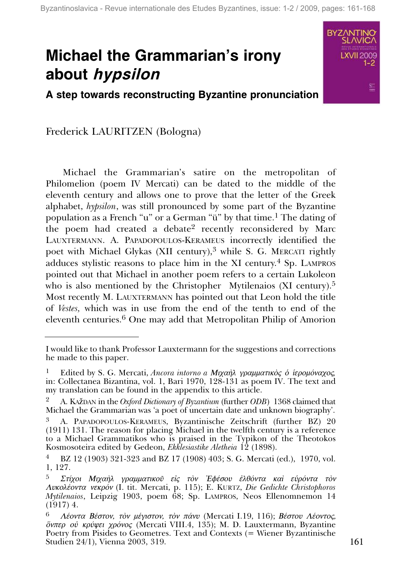# **Michael the Grammarian's irony about** *hypsilon*

**A step towards reconstructing Byzantine pronunciation**

Frederick LAURITZEN (Bologna)

Michael the Grammarian's satire on the metropolitan of Philomelion (poem IV Mercati) can be dated to the middle of the eleventh century and allows one to prove that the letter of the Greek alphabet, *hypsilon*, was still pronounced by some part of the Byzantine population as a French "u" or a German "ü" by that time.1 The dating of the poem had created a debate<sup>2</sup> recently reconsidered by Marc LAUXTERMANN. A. PAPADOPOULOS-KERAMEUS incorrectly identified the poet with Michael Glykas (XII century),<sup>3</sup> while S. G. MERCATI rightly adduces stylistic reasons to place him in the XI century.<sup>4</sup> Sp. LAMPROS pointed out that Michael in another poem refers to a certain Lukoleon who is also mentioned by the Christopher Mytilenaios (XI century).<sup>5</sup> Most recently M. LAUXTERMANN has pointed out that Leon hold the title of *Vestes,* which was in use from the end of the tenth to end of the eleventh centuries.6 One may add that Metropolitan Philip of Amorion

I would like to thank Professor Lauxtermann for the suggestions and corrections he made to this paper.

Edited by S. G. Mercati, *Ancora intorno a Μιχαήλ γραμματικός δ* ίερομόναχος, in: Collectanea Bizantina, vol. 1, Bari 1970, 128-131 as poem IV. The text and my translation can be found in the appendix to this article.

<sup>2</sup> A. KAûDAN in the *Oxford Dictionary of Byzantium* (further *ODB*) 1368 claimed that Michael the Grammarian was 'a poet of uncertain date and unknown biography'.

<sup>3</sup> A. PAPADOPOULOS-KERAMEUS, Byzantinische Zeitschrift (further BZ) 20 (1911) 131. The reason for placing Michael in the twelfth century is a reference to a Michael Grammatikos who is praised in the Typikon of the Theotokos Kosmosoteira edited by Gedeon, *Ekklesiastike Aletheia* 12 (1898).

<sup>4</sup> BZ 12 (1903) 321-323 and BZ 17 (1908) 403; S. G. Mercati (ed.), 1970, vol. 1, 127.

 $^{5}$  Στίχοι Μιχαὴλ γραμματικοῦ εἰς τὸν Ἐφέσου ἐλθόντα καὶ εὑρόντα τὸν  $\Lambda$ υκολέοντα νεκρόν (I. tit. Mercati, p. 115); E. KURTZ, *Die Gedichte Christophoros Mytilenaios*, Leipzig 1903, poem 68; Sp. LAMPROS, Neos Ellenomnemon 14 (1917) 4.

 $A$ έοντα Βέστον, τον μέγιστον, τον πάνυ (Mercati I.19, 116); Βέστου Λέοντος, <sup>δ</sup>νπερ οὐ κρύψει χρόνος (Mercati VIII.4, 135); M. D. Lauxtermann, Byzantine Poetry from Pisides to Geometres. Text and Contexts (= Wiener Byzantinische Studien 24/1), Vienna 2003, 319. 161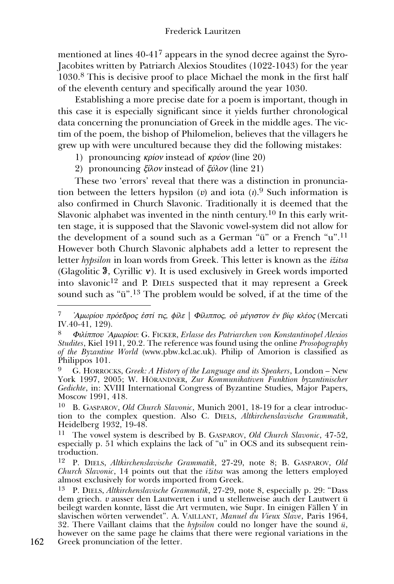mentioned at lines 40-417 appears in the synod decree against the Syro-Jacobites written by Patriarch Alexios Stoudites (1022-1043) for the year 1030.<sup>8</sup> This is decisive proof to place Michael the monk in the first half of the eleventh century and specifically around the year 1030.

Establishing a more precise date for a poem is important, though in this case it is especially significant since it yields further chronological data concerning the pronunciation of Greek in the middle ages. The victim of the poem, the bishop of Philomelion, believes that the villagers he grew up with were uncultured because they did the following mistakes:

- 1) pronouncing  $\kappa \rho i \omega v$  instead of  $\kappa \rho \nu \omega v$  (line 20)
- 2) pronouncing  $\zeta \hat{\mu}$  instead of  $\zeta \hat{\nu}$  (line 21)

These two 'errors' reveal that there was a distinction in pronunciation between the letters hypsilon ( $v$ ) and iota ( $v$ ).<sup>9</sup> Such information is also confirmed in Church Slavonic. Traditionally it is deemed that the Slavonic alphabet was invented in the ninth century.10 In this early written stage, it is supposed that the Slavonic vowel-system did not allow for the development of a sound such as a German "ü" or a French "u".11 However both Church Slavonic alphabets add a letter to represent the letter *hypsilon* in loan words from Greek. This letter is known as the *iûitsa* (Glagolitic  $\mathcal{F}$ , Cyrillic  $\mathbf{v}$ ). It is used exclusively in Greek words imported into slavonic12 and P. DIELS suspected that it may represent a Greek sound such as "ü".13 The problem would be solved, if at the time of the

 $ZA\mu\omega\rho$ ίου πρόεδρος έστί τις, φίλε | Φίλιππος, οὖ μέγιστον έν βί $\omega$  κλέος (Mercati IV.40-41, 129).

 $Φιλίππου$  'Αμωρίου: G. FICKER, *Erlasse des Patriarchen von Konstantinopel Alexios Studites*, Kiel 1911, 20.2. The reference was found using the online *Prosopography of the Byzantine World* (www.pbw.kcl.ac.uk). Philip of Amorion is classified as Philippos 101.

<sup>9</sup> G. HORROCKS, *Greek: A History of the Language and its Speakers*, London – New York 1997, 2005; W. HÖRANDNER, *Zur Kommunikativen Funktion byzantinischer Gedichte*, in: XVIII International Congress of Byzantine Studies, Major Papers, Moscow 1991, 418.

<sup>10</sup> B. GASPAROV, *Old Church Slavonic*, Munich 2001, 18-19 for a clear introduction to the complex question. Also C. DIELS, *Altkirchenslavische Grammatik*, Heidelberg 1932, 19-48.

<sup>11</sup> The vowel system is described by B. GASPAROV, *Old Church Slavonic*, 47-52, especially p. 51 which explains the lack of "u" in OCS and its subsequent reintroduction.

<sup>12</sup> P. DIELS, *Altkirchenslavische Grammatik*, 27-29, note 8; B. GASPAROV, *Old Church Slavonic*, 14 points out that the *iûitsa* was among the letters employed almost exclusively for words imported from Greek.

<sup>13</sup> P. DIELS, *Altkirchenslavische Grammatik*, 27-29, note 8, especially p. 29: "Dass dem griech.  $v$  ausser den Lautwerten i und u stellenweise auch der Lautwert ü beilegt warden konnte, lässt die Art vermuten, wie Supr. In einigen Fällen Y in slavischen wörten verwendet". A. VAILLANT, *Manuel du Vieux Slave*, Paris 1964, 32. There Vaillant claims that the *hypsilon* could no longer have the sound *ü*, however on the same page he claims that there were regional variations in the

<sup>162</sup> Greek pronunciation of the letter.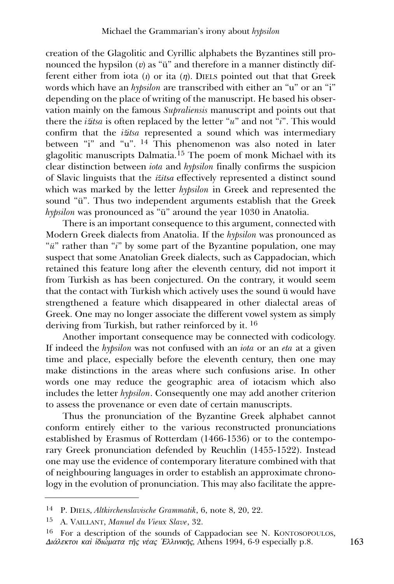creation of the Glagolitic and Cyrillic alphabets the Byzantines still pronounced the hypsilon  $(v)$  as "ü" and therefore in a manner distinctly different either from iota (*i*) or ita (*n*). DIELS pointed out that that Greek words which have an *hypsilon* are transcribed with either an "u" or an "i" depending on the place of writing of the manuscript. He based his observation mainly on the famous *Supraliensis* manuscript and points out that there the *iûitsa* is often replaced by the letter "*u*" and not "*i*". This would confirm that the *iûitsa* represented a sound which was intermediary between "i" and "u". <sup>14</sup> This phenomenon was also noted in later glagolitic manuscripts Dalmatia.<sup>15</sup> The poem of monk Michael with its clear distinction between *iota* and *hypsilon* finally confirms the suspicion of Slavic linguists that the *iûitsa* effectively represented a distinct sound which was marked by the letter *hypsilon* in Greek and represented the sound "ü". Thus two independent arguments establish that the Greek *hypsilon* was pronounced as "ü" around the year 1030 in Anatolia.

There is an important consequence to this argument, connected with Modern Greek dialects from Anatolia. If the *hypsilon* was pronounced as "*ü*" rather than "*i*" by some part of the Byzantine population, one may suspect that some Anatolian Greek dialects, such as Cappadocian, which retained this feature long after the eleventh century, did not import it from Turkish as has been conjectured. On the contrary, it would seem that the contact with Turkish which actively uses the sound ü would have strengthened a feature which disappeared in other dialectal areas of Greek. One may no longer associate the different vowel system as simply deriving from Turkish, but rather reinforced by it. <sup>16</sup>

Another important consequence may be connected with codicology. If indeed the *hypsilon* was not confused with an *iota* or an *eta* at a given time and place, especially before the eleventh century, then one may make distinctions in the areas where such confusions arise. In other words one may reduce the geographic area of iotacism which also includes the letter *hypsilon*. Consequently one may add another criterion to assess the provenance or even date of certain manuscripts.

Thus the pronunciation of the Byzantine Greek alphabet cannot conform entirely either to the various reconstructed pronunciations established by Erasmus of Rotterdam (1466-1536) or to the contemporary Greek pronunciation defended by Reuchlin (1455-1522). Instead one may use the evidence of contemporary literature combined with that of neighbouring languages in order to establish an approximate chronology in the evolution of pronunciation. This may also facilitate the appre-

<sup>14</sup> P. DIELS, *Altkirchenslavische Grammatik*, 6, note 8, 20, 22.

<sup>15</sup> A. VAILLANT, *Manuel du Vieux Slave*, 32.

<sup>16</sup> For a description of the sounds of Cappadocian see N. KONTOSOPOULOS,  $\Delta$ ιάλεκτοι καὶ ἰδιώματα τῆς νέας Έλλινικῆς, Athens 1994, 6-9 especially p.8. 163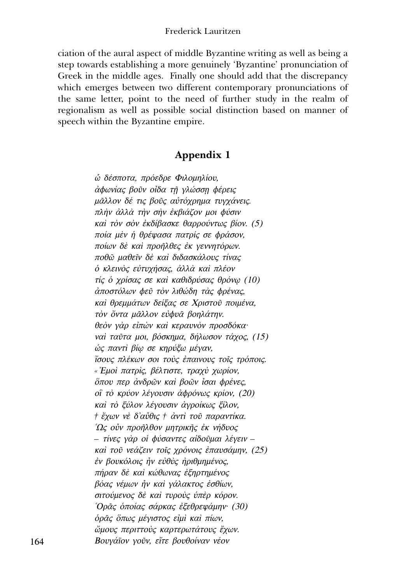ciation of the aural aspect of middle Byzantine writing as well as being a step towards establishing a more genuinely 'Byzantine' pronunciation of Greek in the middle ages. Finally one should add that the discrepancy which emerges between two different contemporary pronunciations of the same letter, point to the need of further study in the realm of regionalism as well as possible social distinction based on manner of speech within the Byzantine empire.

## Appendix 1

ώ δέσποτα, πρόεδρε Φιλομηλίου, άφωνίας βοῦν οἶδα τῆ γλώσση φέρεις μᾶλλον δέ τις βοῦς αὐτόχρημα τυγχάνεις. πλήν άλλά την σην έκβιάζον μοι φύσιν καί τὸν σὸν ἐκδίβασκε θαρρούντως βίον. (5) ποία μέν ή θρέψασα πατρίς σε φράσον, ποίων δέ και προῆλθες έκ γεννητόρων. ποθῶ μαθεῖν δε και διδασκάλους τίνας ό κλεινός εύτυχήσας, άλλά και πλέον τίς ο χρίσας σε και καθιδρύσας θρόνω (10) άποστόλων φεῦ τὸν λιθώδη τὰς φρένας, καί θρεμμάτων δείξας σε Χριστού ποιμένα, τὸν ὄντα μᾶλλον εὐφυᾶ βοηλάτην. θεόν γάρ είπών και κεραυνόν προσδόκα· ναί ταῦτα μοι, βόσκημα, δήλωσον τάχος, (15) ώς παντί βίω σε κηρύξω μέγαν, ίσους πλέκων σοι τούς έπαινους τοις τρόποις. «'Εμοί πατρίς, βέλτιστε, τραχύ χωρίον, δπου περ άνδρων και βοών ίσαι φρένες, οΐ τὸ κρύον λέγουσιν ἀφρόνως κρίον, (20) καί τὸ ξύλον λέγουσιν ἀγροίκως ξίλον, † ἔχων νὲ δ'αὖθις † ἀντὶ τοῦ παραντίκα. Ώς οὖν προῆλθον μητρικῆς ἐκ νήδυος - τίνες γάρ οι φύσαντες αιδοῦμαι λέγειν καί τοῦ νεάζειν τοῖς χρόνοις ἐπαυσάμην, (25) έν βουκόλοις ήν εύθὺς ήριθμημένος, πήραν δέ και κώθωνας έξηρτημένος βόας νέμων ήν και γάλακτος εσθίων, σιτούμενος δέ και τυρούς ύπέρ κόρον. Όρᾶς ὁποίας σάρκας ἐξεθρεψάμην· (30) όρᾶς ὅπως μέγιστος εἰμί και πίων, ὤμους περιττούς καρτερωτάτους ἔχων. Βουγάϊον γοῦν, εἴτε βουθοίναν νέον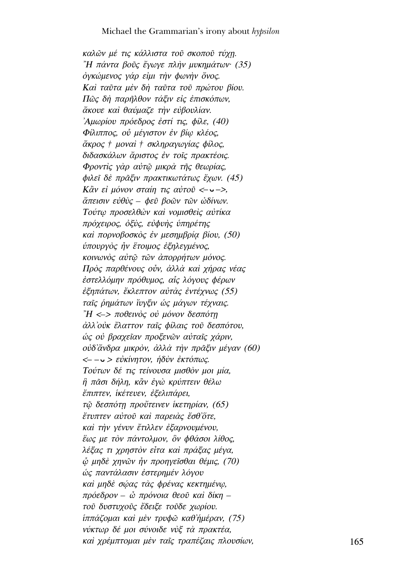καλῶν μέ τις κάλλιστα τοῦ σκοποῦ τύχη. "Η πάντα βοῦς ἔγωγε πλήν μυκημάτων (35) όγκώμενος γάρ είμι την φωνήν όνος. Καί ταῦτα μέν δή ταῦτα τοῦ πρώτου βίου. Πῶς δή παρῆλθον τάξιν είς έπισκόπων, άκουε και θαύμαζε την εύβουλίαν. Αμωρίου πρόεδρος έστί τις, φίλε, (40) Φίλιππος, ού μέγιστον έν βίω κλέος, άκρος † μοναί † σκληραγωγίας φίλος, διδασκάλων ἄριστος ἐν τοῖς πρακτέοις. Φροντίς γάρ αύτῶ μικρά τῆς θεωρίας, φιλεί δέ πράξιν πρακτικωτάτως έχων. (45) Kἂν εί μόνον σταίη τις αὐτοῦ < $\sim$   $\sim$  >. ἄπεισιν εὐθὺς – φεῦ βοῶν τῶν ὡδίνων. Τούτω προσελθών και νομισθείς αυτίκα πρόχειρος, όξὺς, εὐφυὴς ὑπηρέτης καὶ πορνοβοσκὸς ἐν μεσημβρία βίου. (50) ύπουργὸς ἦν ἕτοιμος ἐξηλεγμένος, κοινωνός αύτω των άπορρήτων μόνος. Πρός παρθένους ούν, άλλά και χήρας νέας έστελλόμην πρόθυμος, αἶς λόγους φέρων έξηπάτων, έκλεπτον αύτὰς έντέχνως (55) ταΐς ρημάτων ἴυγξιν ώς μάγων τέχναις. "Η <-> ποθεινός ού μόνον δεσπότη άλλ' ούκ έλαττον ταΐς φίλαις τοῦ δεσπότου, ώς ού βραχείαν προξενῶν αὐταῖς χάριν, ούδ'ἄνδρα μικρόν, ἀλλά την πρᾶξιν μέγαν (60)  $\langle -\rangle$  = εὐκίνητον, ήδὺν ἐκτόπως. Τούτων δέ τις τείνουσα μισθόν μοι μία, ἣ πᾶσι δήλη, κἂν ἐγὼ κρύπτειν θέλω έπιπτεν, ικέτευεν, εξελιπάρει, τῷ δεσπότη προὔτεινεν ίκετηρίαν, (65) έτυπτεν αύτοῦ καὶ παρειάς ἔσθΌτε, καί την γένυν έτιλλεν έξαρνουμένου, έως με τον πάντολμον, δν φθάσοι λίθος, λέξας τι χρηστόν είτα και πράξας μέγα,  $\phi$  μηδέ χηνῶν ἦν προηγεῖσθαι θέμις, (70) ώς παντάλασιν έστερημέν λόγου καί μηδέ σώας τάς φρένας κεκτημένω, πρόεδρον - ὦ πρόνοια θεοῦ καὶ δίκη τοῦ δυστυχοῦς ἔδειξε τοῦδε χωρίου.  $i\pi\pi\alpha\zeta$ ομαι και μεν τρυφώ καθήμέραν, (75) νύκτωρ δέ μοι σύνοιδε νὺξ τὰ πρακτέα, καί χρέμπτομαι μέν ταΐς τραπέζαις πλουσίων,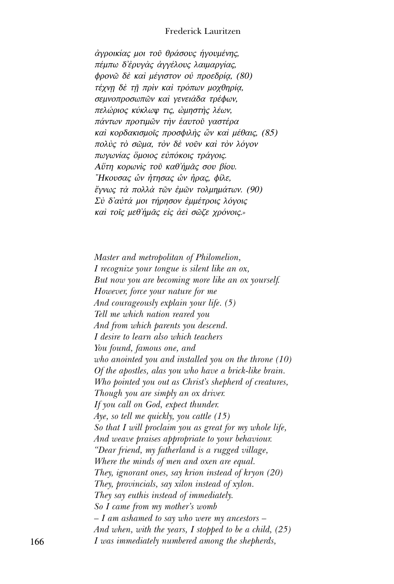#### Frederick Lauritzen

άγροικίας μοι τοῦ θράσους ήγουμένης, πέμπω δ'έρυγὰς ἀγγέλους λαιμαργίας, φρονῶ δὲ καὶ μέγιστον οὐ προεδρία, (80) τέχνη δε τη πρίν και τρόπων μοχθηρία, σεμνοπροσωπών και γενειάδα τρέφων. πελώριος κύκλωψ τις, ώμηστής λέων, πάντων προτιμῶν τὴν ἑαυτοῦ γαστέρα καί κορδακισμοΐς προσφιλής ὢν καί μέθαις, (85) πολύς τὸ σῶμα, τὸν δὲ νοῦν καὶ τὸν λόγον πωγωνίας όμοιος εύπόκοις τράγοις. Αΰτη κορωνίς τοῦ καθ'ἡμᾶς σου βίου. "Ηκουσας ὧν ήτησας ὧν ήρας, φίλε, ἔγνως τὰ πολλὰ τῶν ἐμῶν τολμημάτων. (90) Σύ δ'αύτά μοι τήρησον έμμέτροις λόγοις καί τοις μεθήμας είς άει σωζε χρόνοις.»

Master and metropolitan of Philomelion, I recognize your tongue is silent like an ox, But now you are becoming more like an ox yourself. However, force your nature for me And courageously explain your life. (5) Tell me which nation reared you And from which parents you descend. I desire to learn also which teachers You found, famous one, and who anointed you and installed you on the throne  $(10)$ Of the apostles, alas you who have a brick-like brain. Who pointed you out as Christ's shepherd of creatures, Though you are simply an ox driver. If you call on God, expect thunder. Aye, so tell me quickly, you cattle  $(15)$ So that I will proclaim you as great for my whole life, And weave praises appropriate to your behaviour. "Dear friend, my fatherland is a rugged village, Where the minds of men and oxen are equal. They, ignorant ones, say krion instead of kryon  $(20)$ They, provincials, say xilon instead of xylon. They say euthis instead of immediately. So I came from my mother's womb  $-I$  am ashamed to say who were my ancestors  $-I$ And when, with the years, I stopped to be a child,  $(25)$ I was immediately numbered among the shepherds,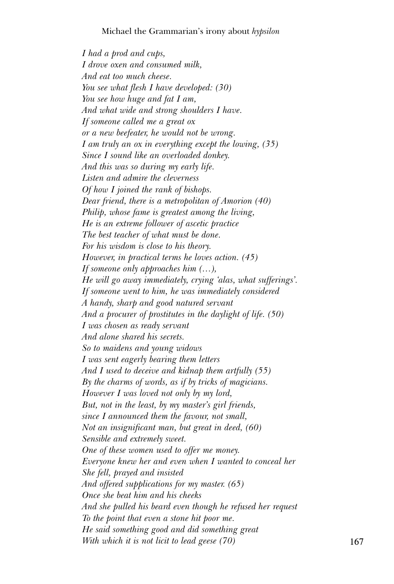#### Michael the Grammarian's irony about *hypsilon*

*I had a prod and cups, I drove oxen and consumed milk, And eat too much cheese. You see what flesh I have developed: (30) You see how huge and fat I am, And what wide and strong shoulders I have. If someone called me a great ox or a new beefeater, he would not be wrong. I am truly an ox in everything except the lowing, (35) Since I sound like an overloaded donkey. And this was so during my early life. Listen and admire the cleverness Of how I joined the rank of bishops. Dear friend, there is a metropolitan of Amorion (40) Philip, whose fame is greatest among the living, He is an extreme follower of ascetic practice The best teacher of what must be done. For his wisdom is close to his theory. However, in practical terms he loves action. (45) If someone only approaches him (…), He will go away immediately, crying 'alas, what sufferings'. If someone went to him, he was immediately considered A handy, sharp and good natured servant And a procurer of prostitutes in the daylight of life. (50) I was chosen as ready servant And alone shared his secrets. So to maidens and young widows I was sent eagerly bearing them letters And I used to deceive and kidnap them artfully (55) By the charms of words, as if by tricks of magicians. However I was loved not only by my lord, But, not in the least, by my master's girl friends, since I announced them the favour, not small, Not an insignificant man, but great in deed, (60) Sensible and extremely sweet. One of these women used to offer me money. Everyone knew her and even when I wanted to conceal her She fell, prayed and insisted And offered supplications for my master. (65) Once she beat him and his cheeks And she pulled his beard even though he refused her request To the point that even a stone hit poor me. He said something good and did something great With which it is not licit to lead geese (70)* 167